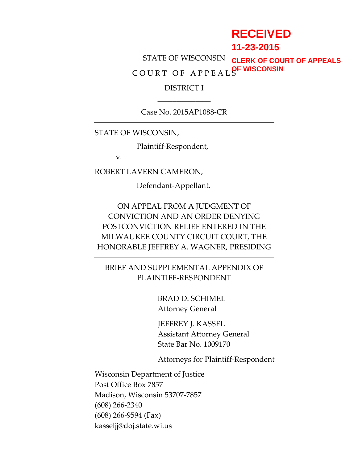# **RECEIVED**

**11-23-2015**

STATE OF WISCONSIN C O U R T O F A P P E A L S **OF WISCONSINCLERK OF COURT OF APPEALS**

### DISTRICT I \_\_\_\_\_\_\_\_\_\_\_\_\_\_

Case No. 2015AP1088-CR

STATE OF WISCONSIN,

Plaintiff-Respondent,

v.

ROBERT LAVERN CAMERON,

Defendant-Appellant.

ON APPEAL FROM A JUDGMENT OF CONVICTION AND AN ORDER DENYING POSTCONVICTION RELIEF ENTERED IN THE MILWAUKEE COUNTY CIRCUIT COURT, THE HONORABLE JEFFREY A. WAGNER, PRESIDING

BRIEF AND SUPPLEMENTAL APPENDIX OF PLAINTIFF-RESPONDENT

> BRAD D. SCHIMEL Attorney General

JEFFREY J. KASSEL Assistant Attorney General State Bar No. 1009170

Attorneys for Plaintiff-Respondent

Wisconsin Department of Justice Post Office Box 7857 Madison, Wisconsin 53707-7857 (608) 266-2340 (608) 266-9594 (Fax) kasseljj@doj.state.wi.us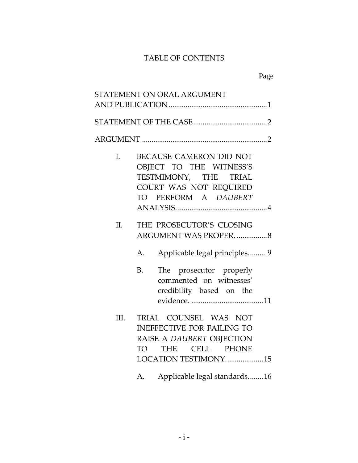### TABLE OF CONTENTS

|      | STATEMENT ON ORAL ARGUMENT                                                                                                                     |
|------|------------------------------------------------------------------------------------------------------------------------------------------------|
|      |                                                                                                                                                |
|      |                                                                                                                                                |
| I.   | BECAUSE CAMERON DID NOT<br>OBJECT TO THE WITNESS'S<br>TESTMIMONY, THE TRIAL<br>COURT WAS NOT REQUIRED<br>TO PERFORM A DAUBERT                  |
| II.  | THE PROSECUTOR'S CLOSING<br>ARGUMENT WAS PROPER. 8<br>Applicable legal principles9<br>А.                                                       |
|      | <b>B.</b><br>The prosecutor properly<br>commented on witnesses'<br>credibility based on the                                                    |
| III. | TRIAL COUNSEL WAS NOT<br><b>INEFFECTIVE FOR FAILING TO</b><br>RAISE A DAUBERT OBJECTION<br>THE CELL PHONE<br><b>TO</b><br>LOCATION TESTIMONY15 |
|      | Applicable legal standards16<br>А.                                                                                                             |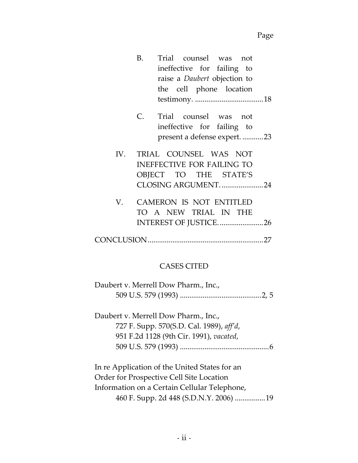|  | B. Trial counsel was not            |  |
|--|-------------------------------------|--|
|  | ineffective for failing to          |  |
|  | raise a <i>Daubert</i> objection to |  |
|  | the cell phone location             |  |
|  |                                     |  |
|  | C. Trial counsel was not            |  |
|  | ineffective for failing to          |  |
|  | present a defense expert. 23        |  |
|  | IV. TRIAL COUNSEL WAS NOT           |  |
|  | <b>INEFFECTIVE FOR FAILING TO</b>   |  |
|  | OBJECT TO THE STATE'S               |  |
|  | CLOSING ARGUMENT24                  |  |
|  | V. CAMERON IS NOT ENTITLED          |  |
|  | TO A NEW TRIAL IN THE               |  |
|  | INTEREST OF JUSTICE26               |  |
|  |                                     |  |
|  |                                     |  |

# CASES CITED

| Daubert v. Merrell Dow Pharm., Inc.,          |  |
|-----------------------------------------------|--|
|                                               |  |
| Daubert v. Merrell Dow Pharm., Inc.,          |  |
| 727 F. Supp. 570(S.D. Cal. 1989), aff'd,      |  |
| 951 F.2d 1128 (9th Cir. 1991), vacated,       |  |
|                                               |  |
| In re Application of the United States for an |  |
| Order for Prospective Cell Site Location      |  |
| Information on a Certain Cellular Telephone,  |  |
| 460 F. Supp. 2d 448 (S.D.N.Y. 2006) 19        |  |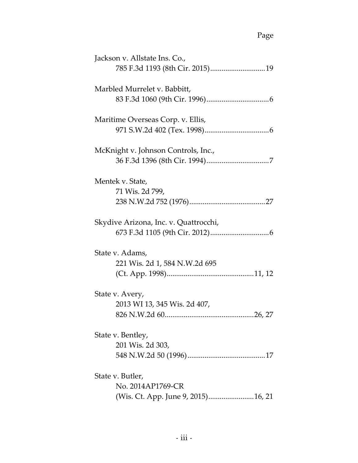| Jackson v. Allstate Ins. Co.,         |
|---------------------------------------|
|                                       |
| Marbled Murrelet v. Babbitt,          |
|                                       |
|                                       |
| Maritime Overseas Corp. v. Ellis,     |
|                                       |
| McKnight v. Johnson Controls, Inc.,   |
|                                       |
|                                       |
| Mentek v. State,                      |
| 71 Wis. 2d 799,                       |
|                                       |
| Skydive Arizona, Inc. v. Quattrocchi, |
|                                       |
|                                       |
| State v. Adams,                       |
| 221 Wis. 2d 1, 584 N.W.2d 695         |
|                                       |
| State v. Avery,                       |
| 2013 WI 13, 345 Wis. 2d 407,          |
|                                       |
| $\dots$ 26, 27<br>826 N.W.2d 60       |
| State v. Bentley,                     |
| 201 Wis. 2d 303,                      |
|                                       |
| State v. Butler,                      |
| No. 2014AP1769-CR                     |
|                                       |
| (Wis. Ct. App. June 9, 2015)16, 21    |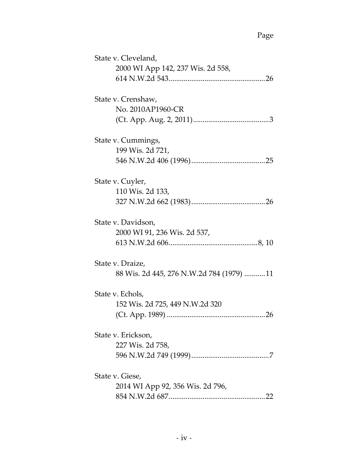| State v. Cleveland,                      |
|------------------------------------------|
| 2000 WI App 142, 237 Wis. 2d 558,        |
|                                          |
|                                          |
| State v. Crenshaw,                       |
| No. 2010AP1960-CR                        |
|                                          |
|                                          |
| State v. Cummings,                       |
| 199 Wis. 2d 721,                         |
|                                          |
|                                          |
| State v. Cuyler,                         |
| 110 Wis. 2d 133,                         |
|                                          |
|                                          |
| State v. Davidson,                       |
| 2000 WI 91, 236 Wis. 2d 537,             |
|                                          |
|                                          |
| State v. Draize,                         |
| 88 Wis. 2d 445, 276 N.W.2d 784 (1979) 11 |
|                                          |
| State v. Echols,                         |
| 152 Wis. 2d 725, 449 N.W.2d 320          |
| (Ct. App. 1989)<br>26                    |
|                                          |
| State v. Erickson,                       |
| 227 Wis. 2d 758,                         |
|                                          |
|                                          |
| State v. Giese,                          |
| 2014 WI App 92, 356 Wis. 2d 796,         |
|                                          |
|                                          |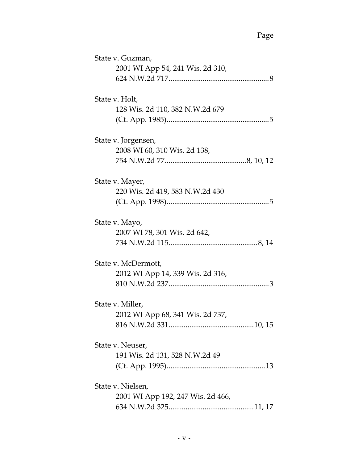| State v. Guzman,                  |
|-----------------------------------|
| 2001 WI App 54, 241 Wis. 2d 310,  |
|                                   |
| State v. Holt,                    |
| 128 Wis. 2d 110, 382 N.W.2d 679   |
|                                   |
|                                   |
| State v. Jorgensen,               |
| 2008 WI 60, 310 Wis. 2d 138,      |
|                                   |
| State v. Mayer,                   |
| 220 Wis. 2d 419, 583 N.W.2d 430   |
|                                   |
|                                   |
| State v. Mayo,                    |
| 2007 WI 78, 301 Wis. 2d 642,      |
|                                   |
| State v. McDermott,               |
| 2012 WI App 14, 339 Wis. 2d 316,  |
|                                   |
|                                   |
| State v. Miller,                  |
| 2012 WI App 68, 341 Wis. 2d 737,  |
|                                   |
| State v. Neuser,                  |
| 191 Wis. 2d 131, 528 N.W.2d 49    |
|                                   |
| State v. Nielsen,                 |
| 2001 WI App 192, 247 Wis. 2d 466, |
|                                   |
|                                   |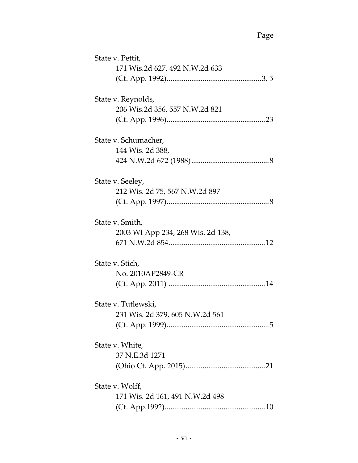| State v. Pettit,                  |
|-----------------------------------|
| 171 Wis.2d 627, 492 N.W.2d 633    |
|                                   |
|                                   |
| State v. Reynolds,                |
| 206 Wis.2d 356, 557 N.W.2d 821    |
|                                   |
| State v. Schumacher,              |
| 144 Wis. 2d 388,                  |
|                                   |
|                                   |
| State v. Seeley,                  |
| 212 Wis. 2d 75, 567 N.W.2d 897    |
|                                   |
| State v. Smith,                   |
| 2003 WI App 234, 268 Wis. 2d 138, |
|                                   |
|                                   |
| State v. Stich,                   |
| No. 2010AP2849-CR                 |
|                                   |
| State v. Tutlewski,               |
| 231 Wis. 2d 379, 605 N.W.2d 561   |
|                                   |
|                                   |
| State v. White,                   |
| 37 N.E.3d 1271                    |
|                                   |
| State v. Wolff,                   |
| 171 Wis. 2d 161, 491 N.W.2d 498   |
|                                   |
|                                   |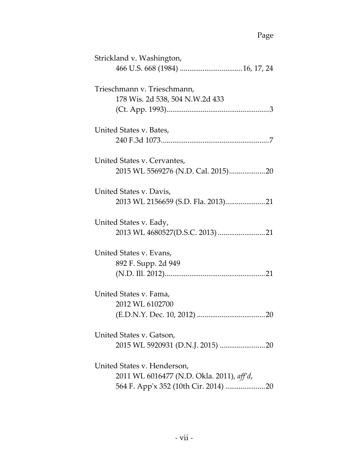| Strickland v. Washington,                                                |
|--------------------------------------------------------------------------|
| Trieschmann v. Trieschmann,<br>178 Wis. 2d 538, 504 N.W.2d 433           |
| United States v. Bates,                                                  |
| United States v. Cervantes,                                              |
| United States v. Davis,                                                  |
| United States v. Eady,                                                   |
| United States v. Evans,<br>892 F. Supp. 2d 949                           |
| United States v. Fama,<br>2012 WL 6102700                                |
| United States v. Gatson,                                                 |
| United States v. Henderson,<br>2011 WL 6016477 (N.D. Okla. 2011), aff'd, |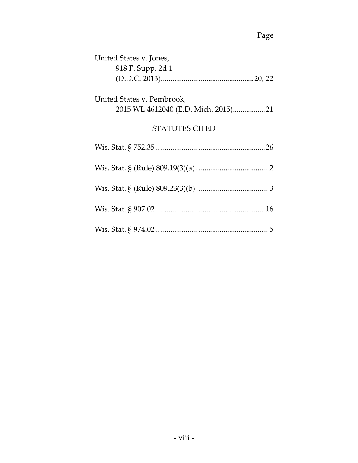| United States v. Jones,                                           |
|-------------------------------------------------------------------|
| 918 F. Supp. 2d 1                                                 |
|                                                                   |
| United States v. Pembrook,<br>2015 WL 4612040 (E.D. Mich. 2015)21 |
| <b>STATUTES CITED</b>                                             |
|                                                                   |
|                                                                   |
|                                                                   |
|                                                                   |
|                                                                   |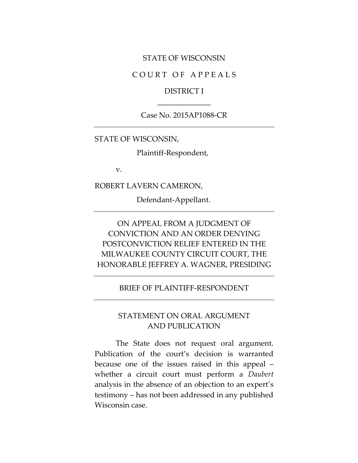#### STATE OF WISCONSIN

#### COURT OF APPEALS

### DISTRICT I \_\_\_\_\_\_\_\_\_\_\_\_\_\_

#### Case No. 2015AP1088-CR

STATE OF WISCONSIN,

Plaintiff-Respondent,

v.

ROBERT LAVERN CAMERON,

Defendant-Appellant.

# ON APPEAL FROM A JUDGMENT OF CONVICTION AND AN ORDER DENYING POSTCONVICTION RELIEF ENTERED IN THE MILWAUKEE COUNTY CIRCUIT COURT, THE HONORABLE JEFFREY A. WAGNER, PRESIDING

#### BRIEF OF PLAINTIFF-RESPONDENT

### STATEMENT ON ORAL ARGUMENT AND PUBLICATION

The State does not request oral argument. Publication of the court's decision is warranted because one of the issues raised in this appeal – whether a circuit court must perform a *Daubert*  analysis in the absence of an objection to an expert's testimony – has not been addressed in any published Wisconsin case.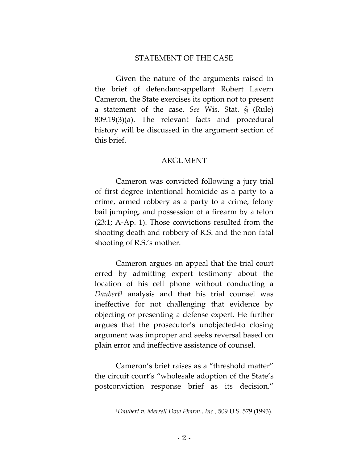#### STATEMENT OF THE CASE

Given the nature of the arguments raised in the brief of defendant-appellant Robert Lavern Cameron, the State exercises its option not to present a statement of the case. *See* Wis. Stat. § (Rule) 809.19(3)(a). The relevant facts and procedural history will be discussed in the argument section of this brief.

#### ARGUMENT

Cameron was convicted following a jury trial of first-degree intentional homicide as a party to a crime, armed robbery as a party to a crime, felony bail jumping, and possession of a firearm by a felon (23:1; A-Ap. 1). Those convictions resulted from the shooting death and robbery of R.S. and the non-fatal shooting of R.S.'s mother.

Cameron argues on appeal that the trial court erred by admitting expert testimony about the location of his cell phone without conducting a *Daubert*<sup>1</sup> analysis and that his trial counsel was ineffective for not challenging that evidence by objecting or presenting a defense expert. He further argues that the prosecutor's unobjected-to closing argument was improper and seeks reversal based on plain error and ineffective assistance of counsel.

Cameron's brief raises as a "threshold matter" the circuit court's "wholesale adoption of the State's postconviction response brief as its decision."

 $\overline{a}$ 

<sup>1</sup>*Daubert v. Merrell Dow Pharm., Inc.,* 509 U.S. 579 (1993).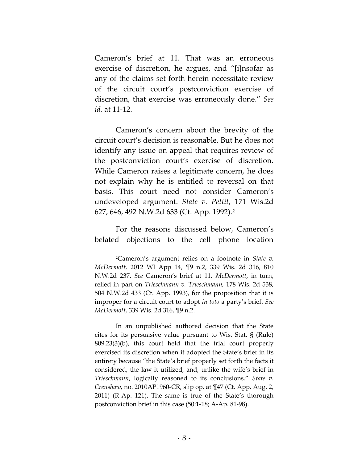Cameron's brief at 11. That was an erroneous exercise of discretion, he argues, and "[i]nsofar as any of the claims set forth herein necessitate review of the circuit court's postconviction exercise of discretion, that exercise was erroneously done." *See id.* at 11-12.

Cameron's concern about the brevity of the circuit court's decision is reasonable. But he does not identify any issue on appeal that requires review of the postconviction court's exercise of discretion. While Cameron raises a legitimate concern, he does not explain why he is entitled to reversal on that basis. This court need not consider Cameron's undeveloped argument. *State v. Pettit*, 171 Wis.2d 627, 646, 492 N.W.2d 633 (Ct. App. 1992).<sup>2</sup>

For the reasons discussed below, Cameron's belated objections to the cell phone location

In an unpublished authored decision that the State cites for its persuasive value pursuant to Wis. Stat. § (Rule) 809.23(3)(b), this court held that the trial court properly exercised its discretion when it adopted the State's brief in its entirety because "the State's brief properly set forth the facts it considered, the law it utilized, and, unlike the wife's brief in *Trieschmann*, logically reasoned to its conclusions." *State v. Crenshaw*, no. 2010AP1960-CR, slip op. at ¶47 (Ct. App. Aug. 2, 2011) (R-Ap. 121). The same is true of the State's thorough postconviction brief in this case (50:1-18; A-Ap. 81-98).

<sup>2</sup>Cameron's argument relies on a footnote in *State v. McDermott*, 2012 WI App 14, ¶9 n.2, 339 Wis. 2d 316, 810 N.W.2d 237. *See* Cameron's brief at 11. *McDermott*, in turn, relied in part on *Trieschmann v. Trieschmann,* 178 Wis. 2d 538, 504 N.W.2d 433 (Ct. App. 1993), for the proposition that it is improper for a circuit court to adopt *in toto* a party's brief. *See McDermott*, 339 Wis. 2d 316, ¶9 n.2.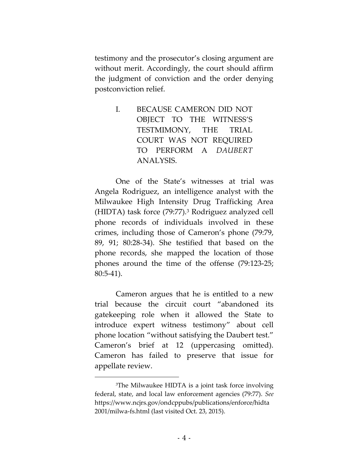testimony and the prosecutor's closing argument are without merit. Accordingly, the court should affirm the judgment of conviction and the order denying postconviction relief.

> I. BECAUSE CAMERON DID NOT OBJECT TO THE WITNESS'S TESTMIMONY, THE TRIAL COURT WAS NOT REQUIRED TO PERFORM A *DAUBERT* ANALYSIS.

One of the State's witnesses at trial was Angela Rodriguez, an intelligence analyst with the Milwaukee High Intensity Drug Trafficking Area (HIDTA) task force (79:77).<sup>3</sup> Rodriguez analyzed cell phone records of individuals involved in these crimes, including those of Cameron's phone (79:79, 89, 91; 80:28-34). She testified that based on the phone records, she mapped the location of those phones around the time of the offense (79:123-25; 80:5-41).

Cameron argues that he is entitled to a new trial because the circuit court "abandoned its gatekeeping role when it allowed the State to introduce expert witness testimony" about cell phone location "without satisfying the Daubert test." Cameron's brief at 12 (uppercasing omitted). Cameron has failed to preserve that issue for appellate review.

 $\overline{a}$ 

<sup>&</sup>lt;sup>3</sup>The Milwaukee HIDTA is a joint task force involving federal, state, and local law enforcement agencies (79:77). *See*  [https://www.ncjrs.gov/ondcppubs/publications/enforce/hidta](https://www.ncjrs.gov/ondcppubs/publications/enforce/hidta2001/milwa-fs.html) [2001/milwa-fs.html](https://www.ncjrs.gov/ondcppubs/publications/enforce/hidta2001/milwa-fs.html) (last visited Oct. 23, 2015).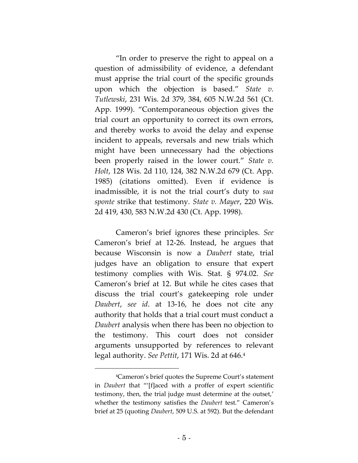"In order to preserve the right to appeal on a question of admissibility of evidence, a defendant must apprise the trial court of the specific grounds upon which the objection is based." *State v. Tutlewski*, 231 Wis. 2d 379, 384, 605 N.W.2d 561 (Ct. App. 1999). "Contemporaneous objection gives the trial court an opportunity to correct its own errors, and thereby works to avoid the delay and expense incident to appeals, reversals and new trials which might have been unnecessary had the objections been properly raised in the lower court." *State v. Holt*, 128 Wis. 2d 110, 124, 382 N.W.2d 679 (Ct. App. 1985) (citations omitted). Even if evidence is inadmissible, it is not the trial court's duty to *sua sponte* strike that testimony. *State v. Mayer*, 220 Wis. 2d 419, 430, 583 N.W.2d 430 (Ct. App. 1998).

Cameron's brief ignores these principles. *See*  Cameron's brief at 12-26. Instead, he argues that because Wisconsin is now a *Daubert* state, trial judges have an obligation to ensure that expert testimony complies with Wis. Stat. § 974.02. *See*  Cameron's brief at 12. But while he cites cases that discuss the trial court's gatekeeping role under *Daubert*, *see id*. at 13-16, he does not cite any authority that holds that a trial court must conduct a *Daubert* analysis when there has been no objection to the testimony. This court does not consider arguments unsupported by references to relevant legal authority. *See Pettit*, 171 Wis. 2d at 646.<sup>4</sup>

<sup>4</sup>Cameron's brief quotes the Supreme Court's statement in *Daubert* that "'[f]aced with a proffer of expert scientific testimony, then, the trial judge must determine at the outset,' whether the testimony satisfies the *Daubert* test." Cameron's brief at 25 (quoting *Daubert*, 509 U.S. at 592). But the defendant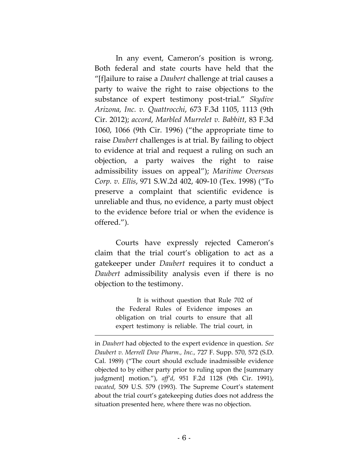In any event, Cameron's position is wrong. Both federal and state courts have held that the "[f]ailure to raise a *Daubert* challenge at trial causes a party to waive the right to raise objections to the substance of expert testimony post-trial." *Skydive Arizona, Inc. v. Quattrocchi*, 673 F.3d 1105, 1113 (9th Cir. 2012); *accord*, *Marbled Murrelet v. Babbitt*, 83 F.3d 1060, 1066 (9th Cir. 1996) ("the appropriate time to raise *Daubert* challenges is at trial. By failing to object to evidence at trial and request a ruling on such an objection, a party waives the right to raise admissibility issues on appeal"); *Maritime Overseas Corp. v. Ellis*, 971 S.W.2d 402, 409-10 (Tex. 1998) ("To preserve a complaint that scientific evidence is unreliable and thus, no evidence, a party must object to the evidence before trial or when the evidence is offered.").

Courts have expressly rejected Cameron's claim that the trial court's obligation to act as a gatekeeper under *Daubert* requires it to conduct a *Daubert* admissibility analysis even if there is no objection to the testimony.

> It is without question that Rule 702 of the Federal Rules of Evidence imposes an obligation on trial courts to ensure that all expert testimony is reliable. The trial court, in

 $\overline{a}$ 

in *Daubert* had objected to the expert evidence in question. *See Daubert v. Merrell Dow Pharm., Inc.,* 727 F. Supp. 570, 572 (S.D. Cal. 1989) ("The court should exclude inadmissible evidence objected to by either party prior to ruling upon the [summary judgment] motion."), *aff'd*, 951 F.2d 1128 (9th Cir. 1991), *vacated*, 509 U.S. 579 (1993). The Supreme Court's statement about the trial court's gatekeeping duties does not address the situation presented here, where there was no objection.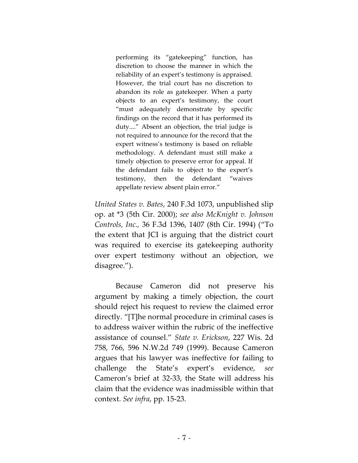performing its "gatekeeping" function, has discretion to choose the manner in which the reliability of an expert's testimony is appraised. However, the trial court has no discretion to abandon its role as gatekeeper. When a party objects to an expert's testimony, the court "must adequately demonstrate by specific findings on the record that it has performed its duty...." Absent an objection, the trial judge is not required to announce for the record that the expert witness's testimony is based on reliable methodology. A defendant must still make a timely objection to preserve error for appeal. If the defendant fails to object to the expert's testimony, then the defendant "waives appellate review absent plain error."

*United States v. Bates*, 240 F.3d 1073, unpublished slip op. at \*3 (5th Cir. 2000); *see also McKnight v. Johnson Controls, Inc.,* 36 F.3d 1396, 1407 (8th Cir. 1994) ("To the extent that JCI is arguing that the district court was required to exercise its gatekeeping authority over expert testimony without an objection, we disagree.").

Because Cameron did not preserve his argument by making a timely objection, the court should reject his request to review the claimed error directly. "[T]he normal procedure in criminal cases is to address waiver within the rubric of the ineffective assistance of counsel." *State v. Erickson*, 227 Wis. 2d 758, 766, 596 N.W.2d 749 (1999). Because Cameron argues that his lawyer was ineffective for failing to challenge the State's expert's evidence, *see*  Cameron's brief at 32-33, the State will address his claim that the evidence was inadmissible within that context. *See infra*, pp. 15-23.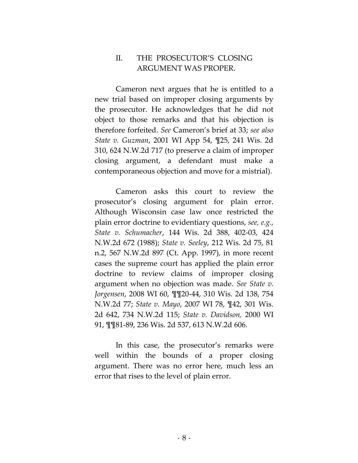### II. THE PROSECUTOR'S CLOSING ARGUMENT WAS PROPER.

Cameron next argues that he is entitled to a new trial based on improper closing arguments by the prosecutor. He acknowledges that he did not object to those remarks and that his objection is therefore forfeited. *See* Cameron's brief at 33; *see also State v. Guzman*, 2001 WI App 54, ¶25, 241 Wis. 2d 310, 624 N.W.2d 717 (to preserve a claim of improper closing argument, a defendant must make a contemporaneous objection and move for a mistrial).

Cameron asks this court to review the prosecutor's closing argument for plain error. Although Wisconsin case law once restricted the plain error doctrine to evidentiary questions, *see, e.g., State v. Schumacher*, 144 Wis. 2d 388, 402-03, 424 N.W.2d 672 (1988); *State v. Seeley*, 212 Wis. 2d 75, 81 n.2, 567 N.W.2d 897 (Ct. App. 1997), in more recent cases the supreme court has applied the plain error doctrine to review claims of improper closing argument when no objection was made. *See State v. Jorgensen*, 2008 WI 60, ¶¶20-44, 310 Wis. 2d 138, 754 N.W.2d 77; *State v. Mayo*, 2007 WI 78, ¶42, 301 Wis. 2d 642, 734 N.W.2d 115; *State v. Davidson,* 2000 WI 91, ¶¶81-89, 236 Wis. 2d 537, 613 N.W.2d 606.

In this case, the prosecutor's remarks were well within the bounds of a proper closing argument. There was no error here, much less an error that rises to the level of plain error.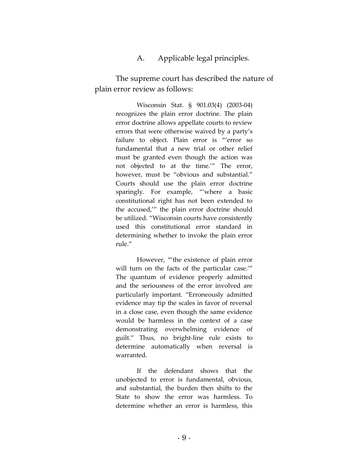A. Applicable legal principles.

The supreme court has described the nature of plain error review as follows:

> Wisconsin Stat. § 901.03(4) (2003-04) recognizes the plain error doctrine. The plain error doctrine allows appellate courts to review errors that were otherwise waived by a party's failure to object. Plain error is "'error so fundamental that a new trial or other relief must be granted even though the action was not objected to at the time.'" The error, however, must be "obvious and substantial." Courts should use the plain error doctrine sparingly. For example, "'where a basic constitutional right has not been extended to the accused,'" the plain error doctrine should be utilized. "Wisconsin courts have consistently used this constitutional error standard in determining whether to invoke the plain error rule."

> However, "'the existence of plain error will turn on the facts of the particular case.'" The quantum of evidence properly admitted and the seriousness of the error involved are particularly important*.* "Erroneously admitted evidence may tip the scales in favor of reversal in a close case, even though the same evidence would be harmless in the context of a case demonstrating overwhelming evidence of guilt." Thus, no bright-line rule exists to determine automatically when reversal is warranted.

> If the defendant shows that the unobjected to error is fundamental, obvious, and substantial, the burden then shifts to the State to show the error was harmless. To determine whether an error is harmless, this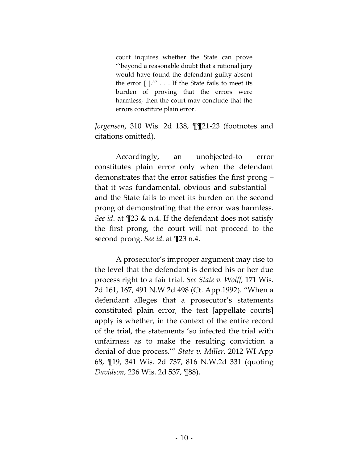court inquires whether the State can prove "'beyond a reasonable doubt that a rational jury would have found the defendant guilty absent the error [ ].'" . . . If the State fails to meet its burden of proving that the errors were harmless, then the court may conclude that the errors constitute plain error.

*Jorgensen*, 310 Wis. 2d 138, ¶¶21-23 (footnotes and citations omitted).

Accordingly, an unobjected-to error constitutes plain error only when the defendant demonstrates that the error satisfies the first prong – that it was fundamental, obvious and substantial – and the State fails to meet its burden on the second prong of demonstrating that the error was harmless. *See id*. at ¶23 & n.4. If the defendant does not satisfy the first prong, the court will not proceed to the second prong. *See id*. at ¶23 n.4.

A prosecutor's improper argument may rise to the level that the defendant is denied his or her due process right to a fair trial. *See State v. Wolff,* 171 Wis. 2d 161, 167, 491 N.W.2d 498 (Ct. App.1992). "When a defendant alleges that a prosecutor's statements constituted plain error, the test [appellate courts] apply is whether, in the context of the entire record of the trial, the statements 'so infected the trial with unfairness as to make the resulting conviction a denial of due process.'" *State v. Miller*, 2012 WI App 68, ¶19, 341 Wis. 2d 737, 816 N.W.2d 331 (quoting *Davidson,* 236 Wis. 2d 537, ¶88).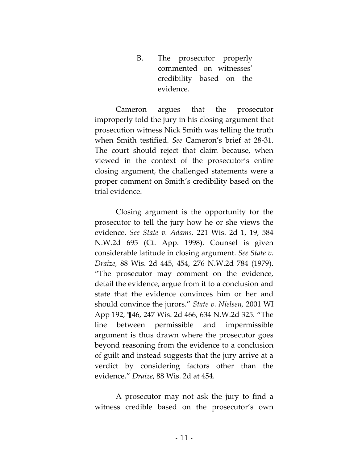B. The prosecutor properly commented on witnesses' credibility based on the evidence.

Cameron argues that the prosecutor improperly told the jury in his closing argument that prosecution witness Nick Smith was telling the truth when Smith testified. *See* Cameron's brief at 28-31. The court should reject that claim because, when viewed in the context of the prosecutor's entire closing argument, the challenged statements were a proper comment on Smith's credibility based on the trial evidence.

Closing argument is the opportunity for the prosecutor to tell the jury how he or she views the evidence. *See State v. Adams,* 221 Wis. 2d 1, 19, 584 N.W.2d 695 (Ct. App. 1998). Counsel is given considerable latitude in closing argument. *See State v. Draize,* 88 Wis. 2d 445, 454, 276 N.W.2d 784 (1979). "The prosecutor may comment on the evidence, detail the evidence, argue from it to a conclusion and state that the evidence convinces him or her and should convince the jurors." *State v. Nielsen,* 2001 WI App 192, ¶46, 247 Wis. 2d 466, 634 N.W.2d 325. "The line between permissible and impermissible argument is thus drawn where the prosecutor goes beyond reasoning from the evidence to a conclusion of guilt and instead suggests that the jury arrive at a verdict by considering factors other than the evidence." *Draize*, 88 Wis. 2d at 454.

A prosecutor may not ask the jury to find a witness credible based on the prosecutor's own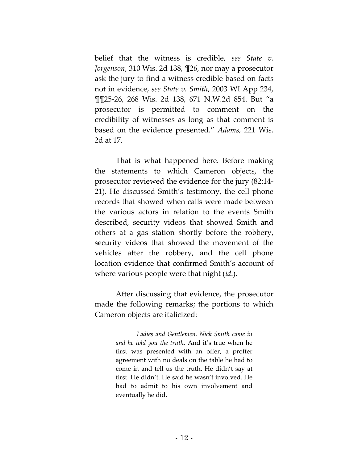belief that the witness is credible, *see State v. Jorgenson*, 310 Wis. 2d 138, ¶26, nor may a prosecutor ask the jury to find a witness credible based on facts not in evidence, *see State v. Smith*, 2003 WI App 234, ¶¶25-26, 268 Wis. 2d 138, 671 N.W.2d 854. But "a prosecutor is permitted to comment on the credibility of witnesses as long as that comment is based on the evidence presented." *Adams,* 221 Wis. 2d at 17.

That is what happened here. Before making the statements to which Cameron objects, the prosecutor reviewed the evidence for the jury (82:14- 21). He discussed Smith's testimony, the cell phone records that showed when calls were made between the various actors in relation to the events Smith described, security videos that showed Smith and others at a gas station shortly before the robbery, security videos that showed the movement of the vehicles after the robbery, and the cell phone location evidence that confirmed Smith's account of where various people were that night (*id*.).

After discussing that evidence, the prosecutor made the following remarks; the portions to which Cameron objects are italicized:

> *Ladies and Gentlemen, Nick Smith came in and he told you the truth*. And it's true when he first was presented with an offer, a proffer agreement with no deals on the table he had to come in and tell us the truth. He didn't say at first. He didn't. He said he wasn't involved. He had to admit to his own involvement and eventually he did.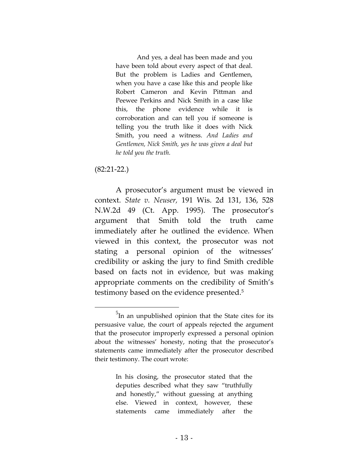And yes, a deal has been made and you have been told about every aspect of that deal. But the problem is Ladies and Gentlemen, when you have a case like this and people like Robert Cameron and Kevin Pittman and Peewee Perkins and Nick Smith in a case like this, the phone evidence while it is corroboration and can tell you if someone is telling you the truth like it does with Nick Smith, you need a witness. *And Ladies and Gentlemen, Nick Smith, yes he was given a deal but he told you the truth.*

#### (82:21-22.)

 $\overline{a}$ 

A prosecutor's argument must be viewed in context. *State v. Neuser,* 191 Wis. 2d 131, 136, 528 N.W.2d 49 (Ct. App. 1995). The prosecutor's argument that Smith told the truth came immediately after he outlined the evidence. When viewed in this context, the prosecutor was not stating a personal opinion of the witnesses' credibility or asking the jury to find Smith credible based on facts not in evidence, but was making appropriate comments on the credibility of Smith's testimony based on the evidence presented.<sup>5</sup>

In his closing, the prosecutor stated that the deputies described what they saw "truthfully and honestly," without guessing at anything else. Viewed in context, however, these statements came immediately after the

<sup>&</sup>lt;sup>5</sup>In an unpublished opinion that the State cites for its persuasive value, the court of appeals rejected the argument that the prosecutor improperly expressed a personal opinion about the witnesses' honesty, noting that the prosecutor's statements came immediately after the prosecutor described their testimony. The court wrote: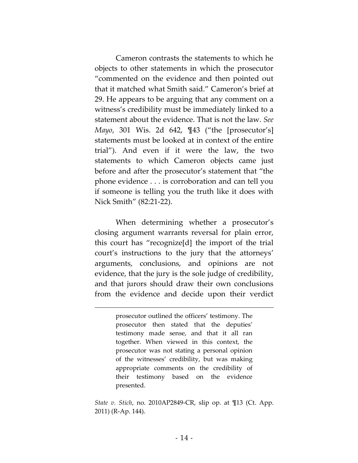Cameron contrasts the statements to which he objects to other statements in which the prosecutor "commented on the evidence and then pointed out that it matched what Smith said." Cameron's brief at 29. He appears to be arguing that any comment on a witness's credibility must be immediately linked to a statement about the evidence. That is not the law. *See Mayo*, 301 Wis. 2d 642, ¶43 ("the [prosecutor's] statements must be looked at in context of the entire trial"). And even if it were the law, the two statements to which Cameron objects came just before and after the prosecutor's statement that "the phone evidence . . . is corroboration and can tell you if someone is telling you the truth like it does with Nick Smith" (82:21-22).

When determining whether a prosecutor's closing argument warrants reversal for plain error, this court has "recognize[d] the import of the trial court's instructions to the jury that the attorneys' arguments, conclusions, and opinions are not evidence, that the jury is the sole judge of credibility, and that jurors should draw their own conclusions from the evidence and decide upon their verdict

> prosecutor outlined the officers' testimony. The prosecutor then stated that the deputies' testimony made sense, and that it all ran together. When viewed in this context, the prosecutor was not stating a personal opinion of the witnesses' credibility, but was making appropriate comments on the credibility of their testimony based on the evidence presented.

*State v. Stich*, no. 2010AP2849-CR, slip op. at ¶13 (Ct. App. 2011) (R-Ap. 144).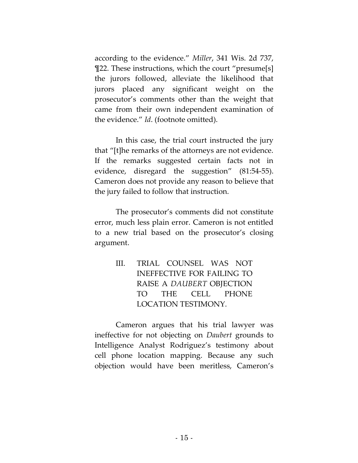according to the evidence." *Miller*, 341 Wis. 2d 737, ¶22. These instructions, which the court "presume[s] the jurors followed, alleviate the likelihood that jurors placed any significant weight on the prosecutor's comments other than the weight that came from their own independent examination of the evidence." *Id*. (footnote omitted).

In this case, the trial court instructed the jury that "[t]he remarks of the attorneys are not evidence. If the remarks suggested certain facts not in evidence, disregard the suggestion" (81:54-55). Cameron does not provide any reason to believe that the jury failed to follow that instruction.

The prosecutor's comments did not constitute error, much less plain error. Cameron is not entitled to a new trial based on the prosecutor's closing argument.

> III. TRIAL COUNSEL WAS NOT INEFFECTIVE FOR FAILING TO RAISE A *DAUBERT* OBJECTION TO THE CELL PHONE LOCATION TESTIMONY.

Cameron argues that his trial lawyer was ineffective for not objecting on *Daubert* grounds to Intelligence Analyst Rodriguez's testimony about cell phone location mapping. Because any such objection would have been meritless, Cameron's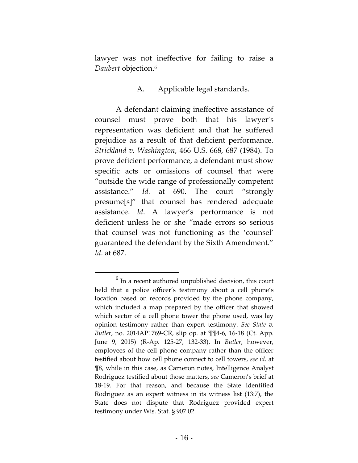lawyer was not ineffective for failing to raise a *Daubert* objection. 6

### A. Applicable legal standards.

A defendant claiming ineffective assistance of counsel must prove both that his lawyer's representation was deficient and that he suffered prejudice as a result of that deficient performance. *Strickland v. Washington*, 466 U.S. 668, 687 (1984). To prove deficient performance, a defendant must show specific acts or omissions of counsel that were "outside the wide range of professionally competent assistance." *Id.* at 690. The court "strongly presume[s]" that counsel has rendered adequate assistance. *Id*. A lawyer's performance is not deficient unless he or she "made errors so serious that counsel was not functioning as the 'counsel' guaranteed the defendant by the Sixth Amendment." *Id*. at 687.

 $<sup>6</sup>$  In a recent authored unpublished decision, this court</sup> held that a police officer's testimony about a cell phone's location based on records provided by the phone company, which included a map prepared by the officer that showed which sector of a cell phone tower the phone used, was lay opinion testimony rather than expert testimony. *See State v. Butler*, no. 2014AP1769-CR, slip op. at ¶¶4-6, 16-18 (Ct. App. June 9, 2015) (R-Ap. 125-27, 132-33). In *Butler*, however, employees of the cell phone company rather than the officer testified about how cell phone connect to cell towers, *see id*. at ¶8, while in this case, as Cameron notes, Intelligence Analyst Rodriguez testified about those matters, *see* Cameron's brief at 18-19. For that reason, and because the State identified Rodriguez as an expert witness in its witness list (13:7), the State does not dispute that Rodriguez provided expert testimony under Wis. Stat. § 907.02.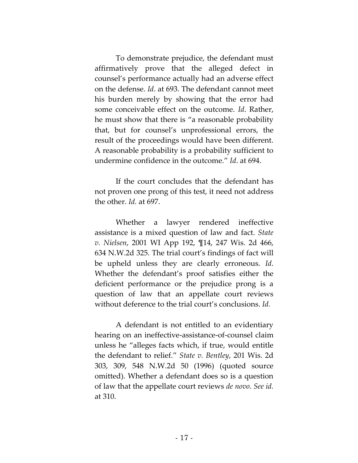To demonstrate prejudice, the defendant must affirmatively prove that the alleged defect in counsel's performance actually had an adverse effect on the defense. *Id*. at 693. The defendant cannot meet his burden merely by showing that the error had some conceivable effect on the outcome. *Id*. Rather, he must show that there is "a reasonable probability that, but for counsel's unprofessional errors, the result of the proceedings would have been different. A reasonable probability is a probability sufficient to undermine confidence in the outcome." *Id*. at 694.

If the court concludes that the defendant has not proven one prong of this test, it need not address the other. *Id.* at 697.

Whether a lawyer rendered ineffective assistance is a mixed question of law and fact. *State v. Nielsen*, 2001 WI App 192, ¶14, 247 Wis. 2d 466, 634 N.W.2d 325. The trial court's findings of fact will be upheld unless they are clearly erroneous. *Id*. Whether the defendant's proof satisfies either the deficient performance or the prejudice prong is a question of law that an appellate court reviews without deference to the trial court's conclusions. *Id.*

A defendant is not entitled to an evidentiary hearing on an ineffective-assistance-of-counsel claim unless he "alleges facts which, if true, would entitle the defendant to relief." *State v. Bentley*, 201 Wis. 2d 303, 309, 548 N.W.2d 50 (1996) (quoted source omitted). Whether a defendant does so is a question of law that the appellate court reviews *de novo*. *See id.* at 310.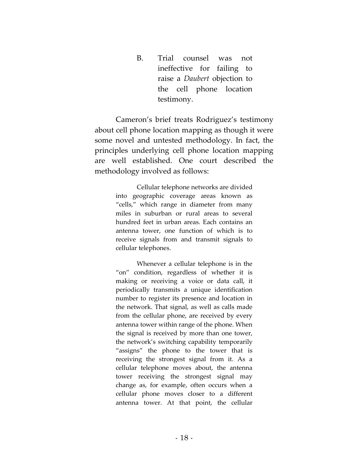B. Trial counsel was not ineffective for failing to raise a *Daubert* objection to the cell phone location testimony.

Cameron's brief treats Rodriguez's testimony about cell phone location mapping as though it were some novel and untested methodology. In fact, the principles underlying cell phone location mapping are well established. One court described the methodology involved as follows:

> Cellular telephone networks are divided into geographic coverage areas known as "cells," which range in diameter from many miles in suburban or rural areas to several hundred feet in urban areas. Each contains an antenna tower, one function of which is to receive signals from and transmit signals to cellular telephones.

> Whenever a cellular telephone is in the "on" condition, regardless of whether it is making or receiving a voice or data call, it periodically transmits a unique identification number to register its presence and location in the network. That signal, as well as calls made from the cellular phone, are received by every antenna tower within range of the phone. When the signal is received by more than one tower, the network's switching capability temporarily "assigns" the phone to the tower that is receiving the strongest signal from it. As a cellular telephone moves about, the antenna tower receiving the strongest signal may change as, for example, often occurs when a cellular phone moves closer to a different antenna tower. At that point, the cellular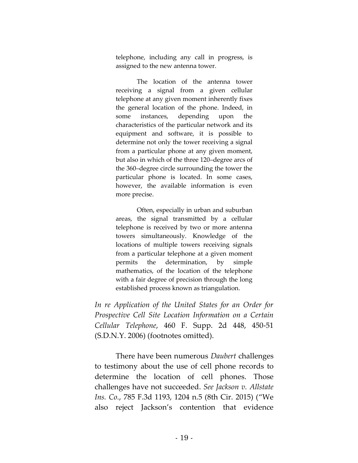telephone, including any call in progress, is assigned to the new antenna tower.

The location of the antenna tower receiving a signal from a given cellular telephone at any given moment inherently fixes the general location of the phone. Indeed, in some instances, depending upon the characteristics of the particular network and its equipment and software, it is possible to determine not only the tower receiving a signal from a particular phone at any given moment, but also in which of the three 120–degree arcs of the 360–degree circle surrounding the tower the particular phone is located. In some cases, however, the available information is even more precise.

Often, especially in urban and suburban areas, the signal transmitted by a cellular telephone is received by two or more antenna towers simultaneously. Knowledge of the locations of multiple towers receiving signals from a particular telephone at a given moment permits the determination, by simple mathematics, of the location of the telephone with a fair degree of precision through the long established process known as triangulation.

*In re Application of the United States for an Order for Prospective Cell Site Location Information on a Certain Cellular Telephone*, 460 F. Supp. 2d 448, 450-51 (S.D.N.Y. 2006) (footnotes omitted).

There have been numerous *Daubert* challenges to testimony about the use of cell phone records to determine the location of cell phones. Those challenges have not succeeded. *See Jackson v. Allstate Ins. Co.*, 785 F.3d 1193, 1204 n.5 (8th Cir. 2015) ("We also reject Jackson's contention that evidence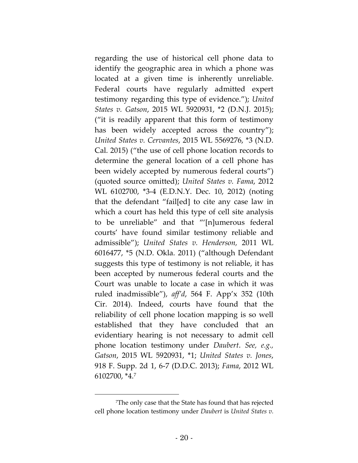regarding the use of historical cell phone data to identify the geographic area in which a phone was located at a given time is inherently unreliable. Federal courts have regularly admitted expert testimony regarding this type of evidence."); *United States v. Gatson*, 2015 WL 5920931, \*2 (D.N.J. 2015); ("it is readily apparent that this form of testimony has been widely accepted across the country"); *United States v. Cervantes*, 2015 WL 5569276, \*3 (N.D. Cal. 2015) ("the use of cell phone location records to determine the general location of a cell phone has been widely accepted by numerous federal courts") (quoted source omitted); *United States v. Fama*, 2012 WL 6102700, \*3-4 (E.D.N.Y. Dec. 10, 2012) (noting that the defendant "fail[ed] to cite any case law in which a court has held this type of cell site analysis to be unreliable" and that "'[n]umerous federal courts' have found similar testimony reliable and admissible"); *United States v. Henderson,* 2011 WL 6016477, \*5 (N.D. Okla. 2011) ("although Defendant suggests this type of testimony is not reliable, it has been accepted by numerous federal courts and the Court was unable to locate a case in which it was ruled inadmissible"), *aff'd*, 564 F. App'x 352 (10th Cir. 2014). Indeed, courts have found that the reliability of cell phone location mapping is so well established that they have concluded that an evidentiary hearing is not necessary to admit cell phone location testimony under *Daubert*. *See, e.g., Gatson*, 2015 WL 5920931, \*1; *United States v. Jones*, 918 F. Supp. 2d 1, 6-7 (D.D.C. 2013); *Fama*, 2012 WL 6102700, \*4. 7

<sup>7</sup>The only case that the State has found that has rejected cell phone location testimony under *Daubert* is *United States v.*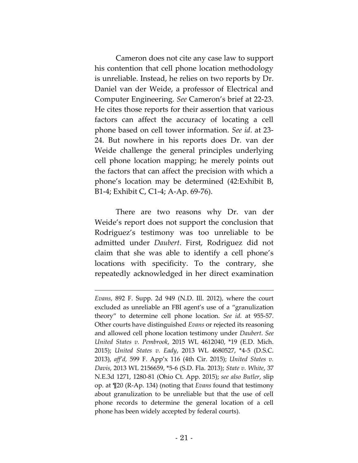Cameron does not cite any case law to support his contention that cell phone location methodology is unreliable. Instead, he relies on two reports by Dr. Daniel van der Weide, a professor of Electrical and Computer Engineering. *See* Cameron's brief at 22-23. He cites those reports for their assertion that various factors can affect the accuracy of locating a cell phone based on cell tower information. *See id*. at 23- 24. But nowhere in his reports does Dr. van der Weide challenge the general principles underlying cell phone location mapping; he merely points out the factors that can affect the precision with which a phone's location may be determined (42:Exhibit B, B1-4; Exhibit C, C1-4; A-Ap. 69-76).

There are two reasons why Dr. van der Weide's report does not support the conclusion that Rodriguez's testimony was too unreliable to be admitted under *Daubert*. First, Rodriguez did not claim that she was able to identify a cell phone's locations with specificity. To the contrary, she repeatedly acknowledged in her direct examination

*Evans*, 892 F. Supp. 2d 949 (N.D. Ill. 2012), where the court excluded as unreliable an FBI agent's use of a "granulization theory" to determine cell phone location. *See id.* at 955-57. Other courts have distinguished *Evans* or rejected its reasoning and allowed cell phone location testimony under *Daubert*. *See United States v. Pembrook*, 2015 WL 4612040, \*19 (E.D. Mich. 2015); *United States v. Eady*, 2013 WL 4680527, \*4-5 (D.S.C. 2013), *aff'd,* 599 F. App'x 116 (4th Cir. 2015); *United States v. Davis*, 2013 WL 2156659, \*5-6 (S.D. Fla. 2013); *State v. White*, 37 N.E.3d 1271, 1280-81 (Ohio Ct. App. 2015); *see also Butler*, slip op. at ¶20 (R-Ap. 134) (noting that *Evans* found that testimony about granulization to be unreliable but that the use of cell phone records to determine the general location of a cell phone has been widely accepted by federal courts).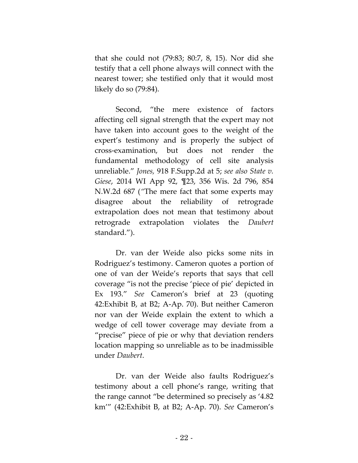that she could not (79:83; 80:7, 8, 15). Nor did she testify that a cell phone always will connect with the nearest tower; she testified only that it would most likely do so (79:84).

Second, "the mere existence of factors affecting cell signal strength that the expert may not have taken into account goes to the weight of the expert's testimony and is properly the subject of cross-examination, but does not render the fundamental methodology of cell site analysis unreliable." *Jones,* 918 F.Supp.2d at 5; *see also State v. Giese*, 2014 WI App 92, ¶23, 356 Wis. 2d 796, 854 N.W.2d 687 (*"*The mere fact that some experts may disagree about the reliability of retrograde extrapolation does not mean that testimony about retrograde extrapolation violates the *Daubert* standard.").

Dr. van der Weide also picks some nits in Rodriguez's testimony. Cameron quotes a portion of one of van der Weide's reports that says that cell coverage "is not the precise 'piece of pie' depicted in Ex 193." *See* Cameron's brief at 23 (quoting 42:Exhibit B, at B2; A-Ap. 70). But neither Cameron nor van der Weide explain the extent to which a wedge of cell tower coverage may deviate from a "precise" piece of pie or why that deviation renders location mapping so unreliable as to be inadmissible under *Daubert*.

Dr. van der Weide also faults Rodriguez's testimony about a cell phone's range, writing that the range cannot "be determined so precisely as '4.82 km'" (42:Exhibit B, at B2; A-Ap. 70). *See* Cameron's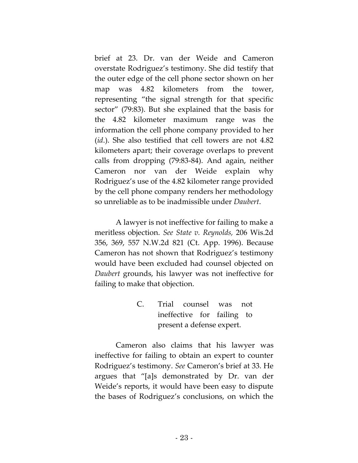brief at 23. Dr. van der Weide and Cameron overstate Rodriguez's testimony. She did testify that the outer edge of the cell phone sector shown on her map was 4.82 kilometers from the tower, representing "the signal strength for that specific sector" (79:83). But she explained that the basis for the 4.82 kilometer maximum range was the information the cell phone company provided to her (*id*.). She also testified that cell towers are not 4.82 kilometers apart; their coverage overlaps to prevent calls from dropping (79:83-84). And again, neither Cameron nor van der Weide explain why Rodriguez's use of the 4.82 kilometer range provided by the cell phone company renders her methodology so unreliable as to be inadmissible under *Daubert*.

A lawyer is not ineffective for failing to make a meritless objection. *See State v. Reynolds,* 206 Wis.2d 356, 369, 557 N.W.2d 821 (Ct. App. 1996). Because Cameron has not shown that Rodriguez's testimony would have been excluded had counsel objected on *Daubert* grounds, his lawyer was not ineffective for failing to make that objection.

> C. Trial counsel was not ineffective for failing to present a defense expert.

Cameron also claims that his lawyer was ineffective for failing to obtain an expert to counter Rodriguez's testimony. *See* Cameron's brief at 33. He argues that "[a]s demonstrated by Dr. van der Weide's reports, it would have been easy to dispute the bases of Rodriguez's conclusions, on which the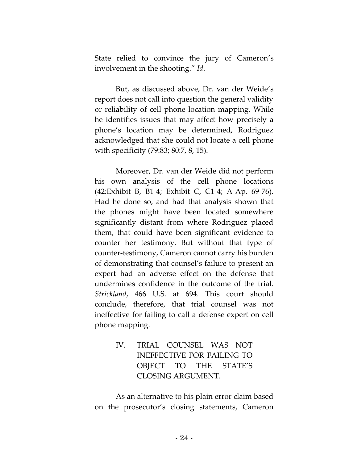State relied to convince the jury of Cameron's involvement in the shooting." *Id*.

But, as discussed above, Dr. van der Weide's report does not call into question the general validity or reliability of cell phone location mapping. While he identifies issues that may affect how precisely a phone's location may be determined, Rodriguez acknowledged that she could not locate a cell phone with specificity (79:83; 80:7, 8, 15).

Moreover, Dr. van der Weide did not perform his own analysis of the cell phone locations (42:Exhibit B, B1-4; Exhibit C, C1-4; A-Ap. 69-76). Had he done so, and had that analysis shown that the phones might have been located somewhere significantly distant from where Rodriguez placed them, that could have been significant evidence to counter her testimony. But without that type of counter-testimony, Cameron cannot carry his burden of demonstrating that counsel's failure to present an expert had an adverse effect on the defense that undermines confidence in the outcome of the trial. *Strickland*, 466 U.S. at 694. This court should conclude, therefore, that trial counsel was not ineffective for failing to call a defense expert on cell phone mapping.

> IV. TRIAL COUNSEL WAS NOT INEFFECTIVE FOR FAILING TO OBJECT TO THE STATE'S CLOSING ARGUMENT.

As an alternative to his plain error claim based on the prosecutor's closing statements, Cameron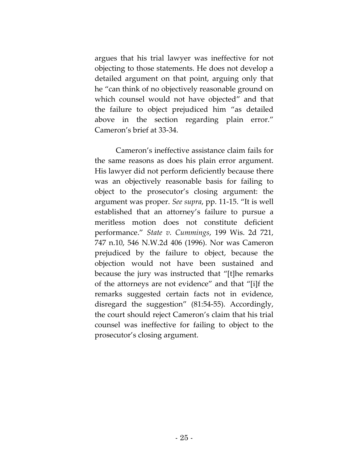argues that his trial lawyer was ineffective for not objecting to those statements. He does not develop a detailed argument on that point, arguing only that he "can think of no objectively reasonable ground on which counsel would not have objected" and that the failure to object prejudiced him "as detailed above in the section regarding plain error." Cameron's brief at 33-34.

Cameron's ineffective assistance claim fails for the same reasons as does his plain error argument. His lawyer did not perform deficiently because there was an objectively reasonable basis for failing to object to the prosecutor's closing argument: the argument was proper. *See supra*, pp. 11-15. "It is well established that an attorney's failure to pursue a meritless motion does not constitute deficient performance." *State v. Cummings*, 199 Wis. 2d 721, 747 n.10, 546 N.W.2d 406 (1996). Nor was Cameron prejudiced by the failure to object, because the objection would not have been sustained and because the jury was instructed that "[t]he remarks of the attorneys are not evidence" and that "[i]f the remarks suggested certain facts not in evidence, disregard the suggestion" (81:54-55). Accordingly, the court should reject Cameron's claim that his trial counsel was ineffective for failing to object to the prosecutor's closing argument.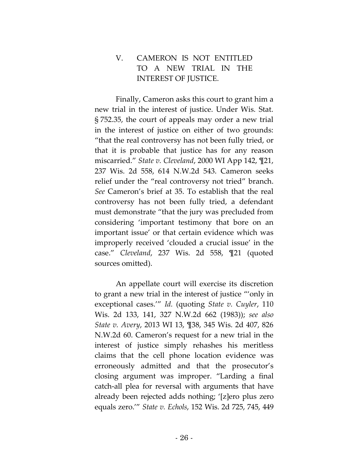## V. CAMERON IS NOT ENTITLED TO A NEW TRIAL IN THE INTEREST OF JUSTICE.

Finally, Cameron asks this court to grant him a new trial in the interest of justice. Under Wis. Stat. § 752.35, the court of appeals may order a new trial in the interest of justice on either of two grounds: "that the real controversy has not been fully tried, or that it is probable that justice has for any reason miscarried." *State v. Cleveland*, 2000 WI App 142, ¶21, 237 Wis. 2d 558, 614 N.W.2d 543. Cameron seeks relief under the "real controversy not tried" branch. *See* Cameron's brief at 35. To establish that the real controversy has not been fully tried, a defendant must demonstrate "that the jury was precluded from considering 'important testimony that bore on an important issue' or that certain evidence which was improperly received 'clouded a crucial issue' in the case." *Cleveland*, 237 Wis. 2d 558, ¶21 (quoted sources omitted).

An appellate court will exercise its discretion to grant a new trial in the interest of justice "'only in exceptional cases.'" *Id.* (quoting *State v. Cuyler*, 110 Wis. 2d 133, 141, 327 N.W.2d 662 (1983)); *see also State v. Avery*, 2013 WI 13, ¶38, 345 Wis. 2d 407, 826 N.W.2d 60. Cameron's request for a new trial in the interest of justice simply rehashes his meritless claims that the cell phone location evidence was erroneously admitted and that the prosecutor's closing argument was improper. "Larding a final catch-all plea for reversal with arguments that have already been rejected adds nothing; '[z]ero plus zero equals zero.'" *State v. Echols*, 152 Wis. 2d 725, 745, 449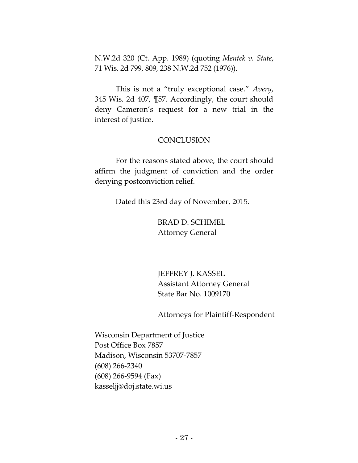N.W.2d 320 (Ct. App. 1989) (quoting *Mentek v. State*, 71 Wis. 2d 799, 809, 238 N.W.2d 752 (1976)).

This is not a "truly exceptional case." *Avery*, 345 Wis. 2d 407, ¶57. Accordingly, the court should deny Cameron's request for a new trial in the interest of justice.

### **CONCLUSION**

For the reasons stated above, the court should affirm the judgment of conviction and the order denying postconviction relief.

Dated this 23rd day of November, 2015.

BRAD D. SCHIMEL Attorney General

JEFFREY J. KASSEL Assistant Attorney General State Bar No. 1009170

Attorneys for Plaintiff-Respondent

Wisconsin Department of Justice Post Office Box 7857 Madison, Wisconsin 53707-7857 (608) 266-2340 (608) 266-9594 (Fax) kasseljj@doj.state.wi.us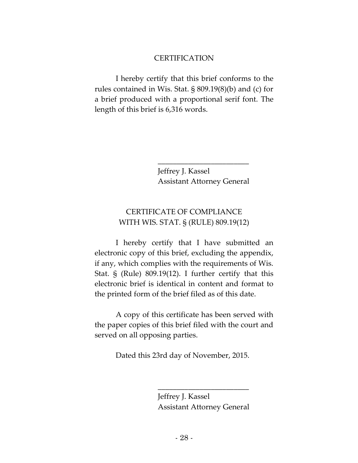#### **CERTIFICATION**

I hereby certify that this brief conforms to the rules contained in Wis. Stat. § 809.19(8)(b) and (c) for a brief produced with a proportional serif font. The length of this brief is 6,316 words.

> Jeffrey J. Kassel Assistant Attorney General

\_\_\_\_\_\_\_\_\_\_\_\_\_\_\_\_\_\_\_\_\_\_\_\_

### CERTIFICATE OF COMPLIANCE WITH WIS. STAT. § (RULE) 809.19(12)

I hereby certify that I have submitted an electronic copy of this brief, excluding the appendix, if any, which complies with the requirements of Wis. Stat. § (Rule) 809.19(12). I further certify that this electronic brief is identical in content and format to the printed form of the brief filed as of this date.

A copy of this certificate has been served with the paper copies of this brief filed with the court and served on all opposing parties.

Dated this 23rd day of November, 2015.

\_\_\_\_\_\_\_\_\_\_\_\_\_\_\_\_\_\_\_\_\_\_\_\_

Jeffrey J. Kassel Assistant Attorney General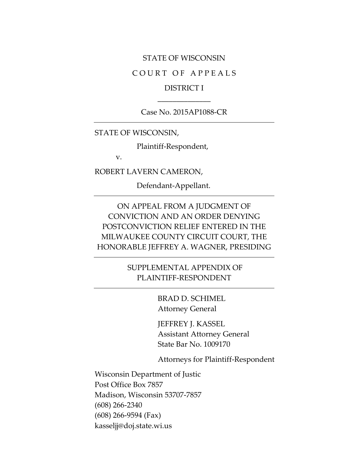#### STATE OF WISCONSIN

#### COURT OF APPEALS

### DISTRICT I \_\_\_\_\_\_\_\_\_\_\_\_\_\_

Case No. 2015AP1088-CR

STATE OF WISCONSIN,

Plaintiff-Respondent,

v.

ROBERT LAVERN CAMERON,

Defendant-Appellant.

ON APPEAL FROM A JUDGMENT OF CONVICTION AND AN ORDER DENYING POSTCONVICTION RELIEF ENTERED IN THE MILWAUKEE COUNTY CIRCUIT COURT, THE HONORABLE JEFFREY A. WAGNER, PRESIDING

> SUPPLEMENTAL APPENDIX OF PLAINTIFF-RESPONDENT

> > BRAD D. SCHIMEL Attorney General

JEFFREY J. KASSEL Assistant Attorney General State Bar No. 1009170

Attorneys for Plaintiff-Respondent

Wisconsin Department of Justic Post Office Box 7857 Madison, Wisconsin 53707-7857 (608) 266-2340 (608) 266-9594 (Fax) kasseljj@doj.state.wi.us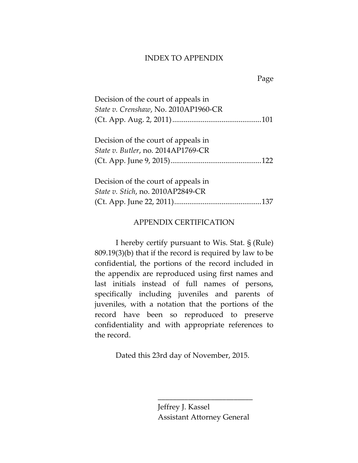#### INDEX TO APPENDIX

Page

| Decision of the court of appeals in  |  |
|--------------------------------------|--|
| State v. Crenshaw, No. 2010AP1960-CR |  |
|                                      |  |
|                                      |  |
| Decision of the court of appeals in  |  |
| State v. Butler, no. 2014AP1769-CR   |  |
|                                      |  |
|                                      |  |
| Decision of the count of appeals in  |  |

| Decision of the court of appeals in      |  |
|------------------------------------------|--|
| <i>State v. Stich, no. 2010AP2849-CR</i> |  |
|                                          |  |

### APPENDIX CERTIFICATION

I hereby certify pursuant to Wis. Stat. § (Rule) 809.19(3)(b) that if the record is required by law to be confidential, the portions of the record included in the appendix are reproduced using first names and last initials instead of full names of persons, specifically including juveniles and parents of juveniles, with a notation that the portions of the record have been so reproduced to preserve confidentiality and with appropriate references to the record.

Dated this 23rd day of November, 2015.

Jeffrey J. Kassel Assistant Attorney General

\_\_\_\_\_\_\_\_\_\_\_\_\_\_\_\_\_\_\_\_\_\_\_\_\_